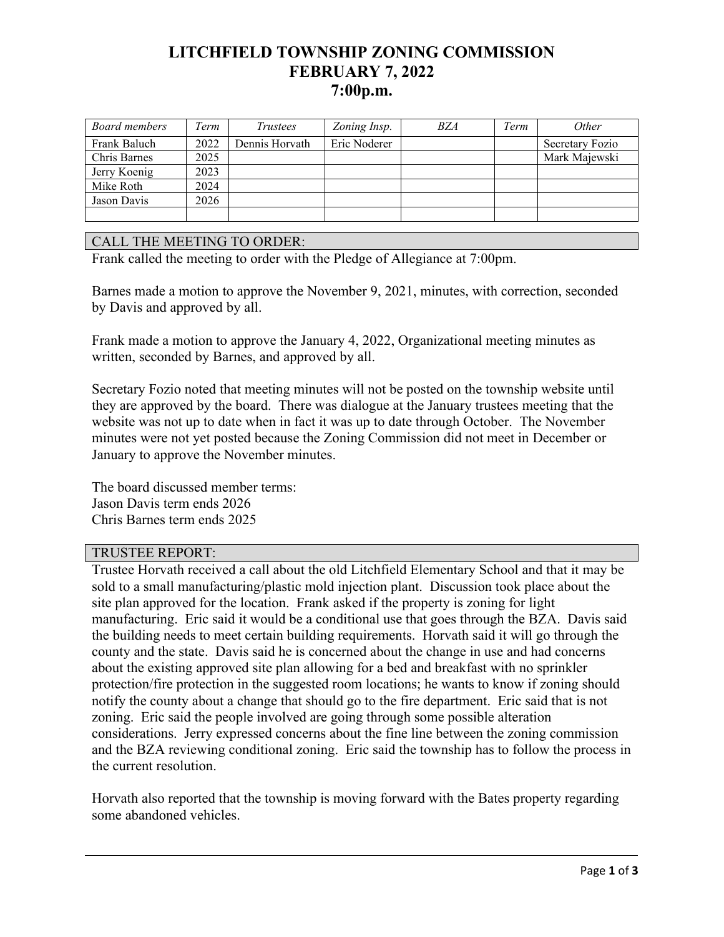# **LITCHFIELD TOWNSHIP ZONING COMMISSION FEBRUARY 7, 2022 7:00p.m.**

| Board members | Term | <i>Trustees</i> | Zoning Insp. | <i>BZA</i> | Term | <i>Other</i>    |
|---------------|------|-----------------|--------------|------------|------|-----------------|
| Frank Baluch  | 2022 | Dennis Horvath  | Eric Noderer |            |      | Secretary Fozio |
| Chris Barnes  | 2025 |                 |              |            |      | Mark Majewski   |
| Jerry Koenig  | 2023 |                 |              |            |      |                 |
| Mike Roth     | 2024 |                 |              |            |      |                 |
| Jason Davis   | 2026 |                 |              |            |      |                 |
|               |      |                 |              |            |      |                 |

### CALL THE MEETING TO ORDER:

Frank called the meeting to order with the Pledge of Allegiance at 7:00pm.

Barnes made a motion to approve the November 9, 2021, minutes, with correction, seconded by Davis and approved by all.

Frank made a motion to approve the January 4, 2022, Organizational meeting minutes as written, seconded by Barnes, and approved by all.

Secretary Fozio noted that meeting minutes will not be posted on the township website until they are approved by the board. There was dialogue at the January trustees meeting that the website was not up to date when in fact it was up to date through October. The November minutes were not yet posted because the Zoning Commission did not meet in December or January to approve the November minutes.

The board discussed member terms: Jason Davis term ends 2026 Chris Barnes term ends 2025

### TRUSTEE REPORT:

Trustee Horvath received a call about the old Litchfield Elementary School and that it may be sold to a small manufacturing/plastic mold injection plant. Discussion took place about the site plan approved for the location. Frank asked if the property is zoning for light manufacturing. Eric said it would be a conditional use that goes through the BZA. Davis said the building needs to meet certain building requirements. Horvath said it will go through the county and the state. Davis said he is concerned about the change in use and had concerns about the existing approved site plan allowing for a bed and breakfast with no sprinkler protection/fire protection in the suggested room locations; he wants to know if zoning should notify the county about a change that should go to the fire department. Eric said that is not zoning. Eric said the people involved are going through some possible alteration considerations. Jerry expressed concerns about the fine line between the zoning commission and the BZA reviewing conditional zoning. Eric said the township has to follow the process in the current resolution.

Horvath also reported that the township is moving forward with the Bates property regarding some abandoned vehicles.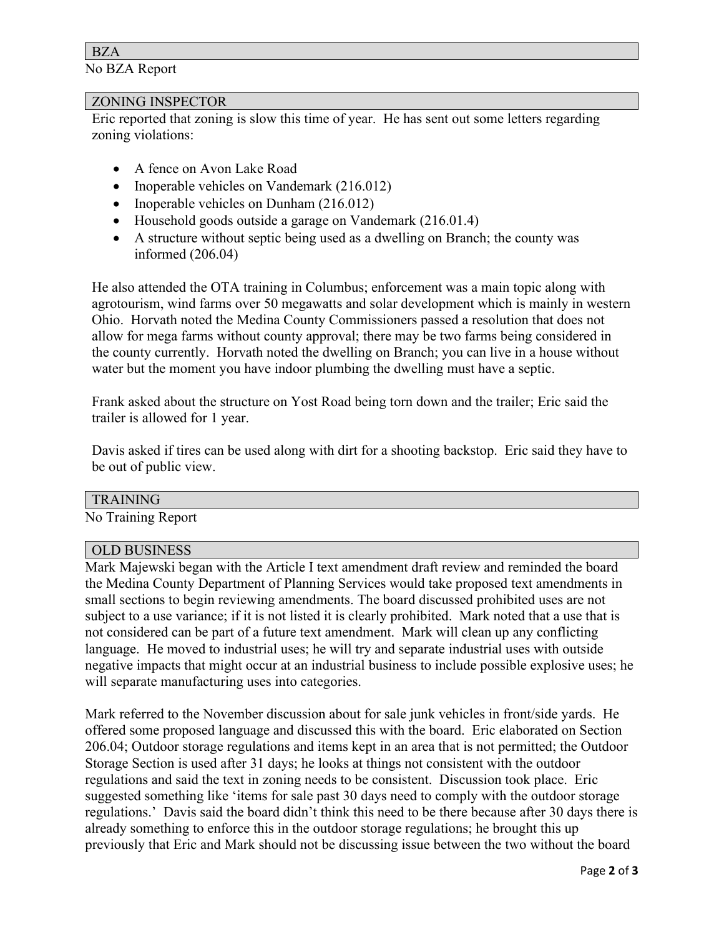## BZA

No BZA Report

### ZONING INSPECTOR

Eric reported that zoning is slow this time of year. He has sent out some letters regarding zoning violations:

- A fence on Avon Lake Road
- Inoperable vehicles on Vandemark (216.012)
- Inoperable vehicles on Dunham (216.012)
- Household goods outside a garage on Vandemark (216.01.4)
- A structure without septic being used as a dwelling on Branch; the county was informed (206.04)

He also attended the OTA training in Columbus; enforcement was a main topic along with agrotourism, wind farms over 50 megawatts and solar development which is mainly in western Ohio. Horvath noted the Medina County Commissioners passed a resolution that does not allow for mega farms without county approval; there may be two farms being considered in the county currently. Horvath noted the dwelling on Branch; you can live in a house without water but the moment you have indoor plumbing the dwelling must have a septic.

Frank asked about the structure on Yost Road being torn down and the trailer; Eric said the trailer is allowed for 1 year.

Davis asked if tires can be used along with dirt for a shooting backstop. Eric said they have to be out of public view.

### TRAINING

No Training Report

### OLD BUSINESS

Mark Majewski began with the Article I text amendment draft review and reminded the board the Medina County Department of Planning Services would take proposed text amendments in small sections to begin reviewing amendments. The board discussed prohibited uses are not subject to a use variance; if it is not listed it is clearly prohibited. Mark noted that a use that is not considered can be part of a future text amendment. Mark will clean up any conflicting language. He moved to industrial uses; he will try and separate industrial uses with outside negative impacts that might occur at an industrial business to include possible explosive uses; he will separate manufacturing uses into categories.

Mark referred to the November discussion about for sale junk vehicles in front/side yards. He offered some proposed language and discussed this with the board. Eric elaborated on Section 206.04; Outdoor storage regulations and items kept in an area that is not permitted; the Outdoor Storage Section is used after 31 days; he looks at things not consistent with the outdoor regulations and said the text in zoning needs to be consistent. Discussion took place. Eric suggested something like 'items for sale past 30 days need to comply with the outdoor storage regulations.' Davis said the board didn't think this need to be there because after 30 days there is already something to enforce this in the outdoor storage regulations; he brought this up previously that Eric and Mark should not be discussing issue between the two without the board